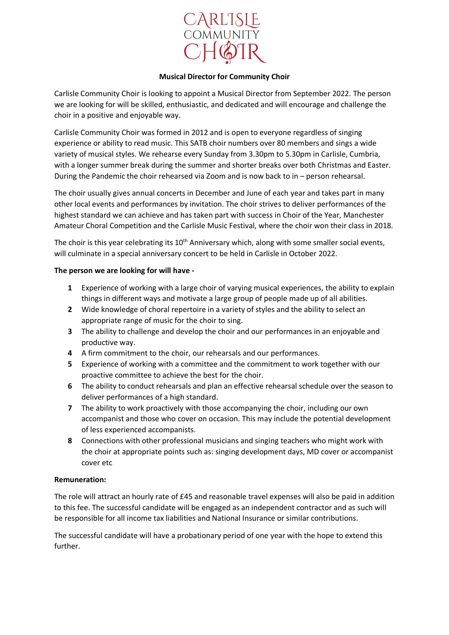

## **Musical Director for Community Choir**

Carlisle Community Choir is looking to appoint a Musical Director from September 2022. The person we are looking for will be skilled, enthusiastic, and dedicated and will encourage and challenge the choir in a positive and enjoyable way.

Carlisle Community Choir was formed in 2012 and is open to everyone regardless of singing experience or ability to read music. This SATB choir numbers over 80 members and sings a wide variety of musical styles. We rehearse every Sunday from 3.30pm to 5.30pm in Carlisle, Cumbria, with a longer summer break during the summer and shorter breaks over both Christmas and Easter. During the Pandemic the choir rehearsed via Zoom and is now back to in – person rehearsal.

The choir usually gives annual concerts in December and June of each year and takes part in many other local events and performances by invitation. The choir strives to deliver performances of the highest standard we can achieve and has taken part with success in Choir of the Year, Manchester Amateur Choral Competition and the Carlisle Music Festival, where the choir won their class in 2018.

The choir is this year celebrating its 10<sup>th</sup> Anniversary which, along with some smaller social events, will culminate in a special anniversary concert to be held in Carlisle in October 2022.

## **The person we are looking for will have -**

- **1** Experience of working with a large choir of varying musical experiences, the ability to explain things in different ways and motivate a large group of people made up of all abilities.
- **2** Wide knowledge of choral repertoire in a variety of styles and the ability to select an appropriate range of music for the choir to sing.
- **3** The ability to challenge and develop the choir and our performances in an enjoyable and productive way.
- **4** A firm commitment to the choir, our rehearsals and our performances.
- **5** Experience of working with a committee and the commitment to work together with our proactive committee to achieve the best for the choir.
- **6** The ability to conduct rehearsals and plan an effective rehearsal schedule over the season to deliver performances of a high standard.
- **7** The ability to work proactively with those accompanying the choir, including our own accompanist and those who cover on occasion. This may include the potential development of less experienced accompanists.
- **8** Connections with other professional musicians and singing teachers who might work with the choir at appropriate points such as: singing development days, MD cover or accompanist cover etc

## **Remuneration:**

The role will attract an hourly rate of £45 and reasonable travel expenses will also be paid in addition to this fee. The successful candidate will be engaged as an independent contractor and as such will be responsible for all income tax liabilities and National Insurance or similar contributions.

The successful candidate will have a probationary period of one year with the hope to extend this further.